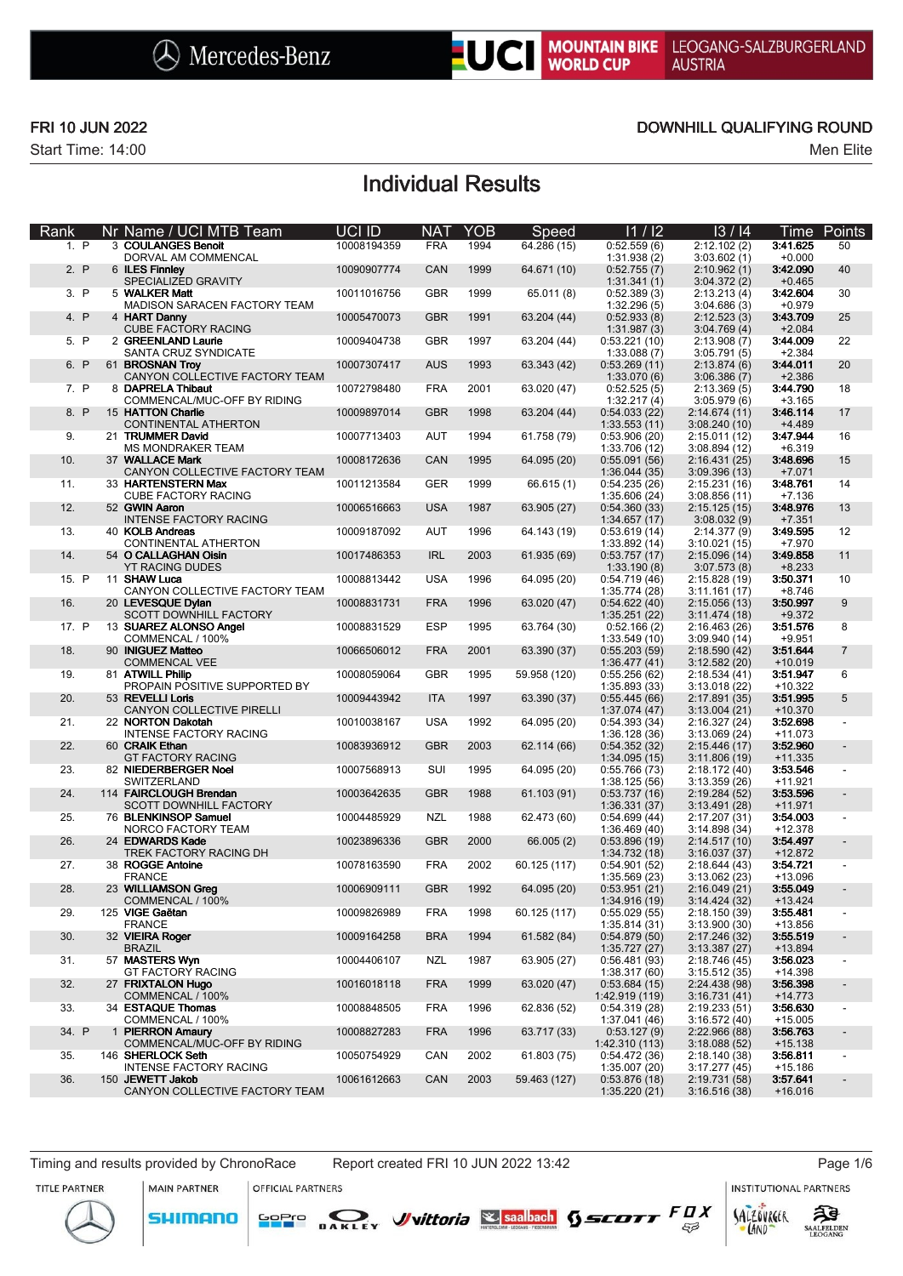

### FRI 10 JUN 2022 DOWNHILL QUALIFYING ROUND

# Individual Results

| Rank  |  | Nr Name / UCI MTB Team                                  | UCI ID      | <b>NAT</b> | <b>YOB</b> | Speed        | 11 / 12                        | 13/14                          | Time                  | Points                   |
|-------|--|---------------------------------------------------------|-------------|------------|------------|--------------|--------------------------------|--------------------------------|-----------------------|--------------------------|
| 1. P  |  | 3 COULANGES Benoit<br>DORVAL AM COMMENCAL               | 10008194359 | <b>FRA</b> | 1994       | 64.286 (15)  | 0:52.559(6)<br>1:31.938(2)     | 2:12.102(2)<br>3:03.602(1)     | 3:41.625<br>$+0.000$  | 50                       |
| 2. P  |  | 6 ILES Finnley<br>SPECIALIZED GRAVITY                   | 10090907774 | CAN        | 1999       | 64.671 (10)  | 0:52.755(7)<br>1:31.341(1)     | 2:10.962(1)<br>3:04.372(2)     | 3:42.090<br>$+0.465$  | 40                       |
| 3. P  |  | 5 WALKER Matt<br>MADISON SARACEN FACTORY TEAM           | 10011016756 | <b>GBR</b> | 1999       | 65.011(8)    | 0:52.389(3)<br>1:32.296(5)     | 2:13.213(4)<br>3:04.686(3)     | 3:42.604<br>$+0.979$  | 30                       |
| 4. P  |  | 4 HART Danny<br><b>CUBE FACTORY RACING</b>              | 10005470073 | <b>GBR</b> | 1991       | 63.204 (44)  | 0:52.933(8)<br>1:31.987(3)     | 2:12.523(3)<br>3:04.769(4)     | 3:43.709<br>$+2.084$  | 25                       |
| 5. P  |  | 2 GREENLAND Laurie<br>SANTA CRUZ SYNDICATE              | 10009404738 | <b>GBR</b> | 1997       | 63.204 (44)  | 0:53.221(10)<br>1:33.088(7)    | 2:13.908(7)<br>3:05.791(5)     | 3:44.009<br>$+2.384$  | 22                       |
| 6. P  |  | 61 BROSNAN Troy<br>CANYON COLLECTIVE FACTORY TEAM       | 10007307417 | <b>AUS</b> | 1993       | 63.343 (42)  | 0:53.269(11)<br>1:33.070(6)    | 2:13.874(6)<br>3:06.386(7)     | 3:44.011<br>$+2.386$  | 20                       |
| 7. P  |  | 8 DAPRELA Thibaut<br>COMMENCAL/MUC-OFF BY RIDING        | 10072798480 | <b>FRA</b> | 2001       | 63.020 (47)  | 0:52.525(5)<br>1:32.217(4)     | 2:13.369(5)<br>3:05.979(6)     | 3:44.790<br>$+3.165$  | 18                       |
| 8. P  |  | 15 HATTON Charlie<br>CONTINENTAL ATHERTON               | 10009897014 | <b>GBR</b> | 1998       | 63.204 (44)  | 0:54.033(22)<br>1:33.553(11)   | 2:14.674(11)<br>3:08.240(10)   | 3:46.114<br>$+4.489$  | 17                       |
| 9.    |  | 21 TRUMMER David<br><b>MS MONDRAKER TEAM</b>            | 10007713403 | AUT        | 1994       | 61.758 (79)  | 0:53.906(20)<br>1:33.706 (12)  | 2:15.011(12)<br>3:08.894(12)   | 3:47.944<br>$+6.319$  | 16                       |
| 10.   |  | 37 WALLACE Mark<br>CANYON COLLECTIVE FACTORY TEAM       | 10008172636 | CAN        | 1995       | 64.095 (20)  | 0:55.091(56)<br>1:36.044(35)   | 2:16.431(25)<br>3:09.396(13)   | 3:48.696<br>$+7.071$  | 15                       |
| 11.   |  | 33 HARTENSTERN Max<br><b>CUBE FACTORY RACING</b>        | 10011213584 | <b>GER</b> | 1999       | 66.615(1)    | 0:54.235(26)<br>1:35.606(24)   | 2:15.231(16)<br>3:08.856(11)   | 3:48.761<br>$+7.136$  | 14                       |
| 12.   |  | 52 GWIN Aaron<br><b>INTENSE FACTORY RACING</b>          | 10006516663 | <b>USA</b> | 1987       | 63.905 (27)  | 0:54.360(33)<br>1:34.657(17)   | 2:15.125(15)<br>3:08.032(9)    | 3:48.976<br>$+7.351$  | 13                       |
| 13.   |  | 40 KOLB Andreas<br>CONTINENTAL ATHERTON                 | 10009187092 | AUT        | 1996       | 64.143 (19)  | 0:53.619(14)<br>1:33.892 (14)  | 2:14.377(9)<br>3:10.021(15)    | 3:49.595<br>$+7.970$  | 12                       |
| 14.   |  | 54 O CALLAGHAN Oisin<br><b>YT RACING DUDES</b>          | 10017486353 | <b>IRL</b> | 2003       | 61.935 (69)  | 0:53.757(17)<br>1:33.190(8)    | 2:15.096(14)<br>3:07.573(8)    | 3:49.858<br>$+8.233$  | 11                       |
| 15. P |  | 11 SHAW Luca<br>CANYON COLLECTIVE FACTORY TEAM          | 10008813442 | <b>USA</b> | 1996       | 64.095 (20)  | 0:54.719(46)<br>1:35.774 (28)  | 2:15.828 (19)<br>3:11.161(17)  | 3:50.371<br>$+8.746$  | 10                       |
| 16.   |  | 20 LEVESQUE Dylan<br>SCOTT DOWNHILL FACTORY             | 10008831731 | <b>FRA</b> | 1996       | 63.020 (47)  | 0:54.622(40)<br>1:35.251(22)   | 2:15.056(13)<br>3:11.474(18)   | 3:50.997<br>$+9.372$  | 9                        |
| 17. P |  | 13 SUAREZ ALONSO Angel<br>COMMENCAL / 100%              | 10008831529 | <b>ESP</b> | 1995       | 63.764 (30)  | 0:52.166(2)<br>1:33.549(10)    | 2:16.463(26)<br>3:09.940(14)   | 3:51.576<br>$+9.951$  | 8                        |
| 18.   |  | 90 INIGUEZ Matteo<br><b>COMMENCAL VEE</b>               | 10066506012 | <b>FRA</b> | 2001       | 63.390 (37)  | 0:55.203(59)<br>1:36.477(41)   | 2:18.590(42)<br>3:12.582(20)   | 3:51.644<br>$+10.019$ | $\overline{7}$           |
| 19.   |  | 81 ATWILL Philip<br>PROPAIN POSITIVE SUPPORTED BY       | 10008059064 | GBR        | 1995       | 59.958 (120) | 0:55.256(62)<br>1:35.893 (33)  | 2:18.534(41)<br>3:13.018(22)   | 3:51.947<br>$+10.322$ | 6                        |
| 20.   |  | 53 REVELLI Loris<br>CANYON COLLECTIVE PIRELLI           | 10009443942 | <b>ITA</b> | 1997       | 63.390 (37)  | 0:55.445(66)<br>1:37.074(47)   | 2:17.891 (35)<br>3:13.004(21)  | 3:51.995<br>$+10.370$ | 5                        |
| 21.   |  | 22 NORTON Dakotah<br><b>INTENSE FACTORY RACING</b>      | 10010038167 | <b>USA</b> | 1992       | 64.095 (20)  | 0:54.393(34)<br>1:36.128 (36)  | 2:16.327(24)<br>3:13.069(24)   | 3:52.698<br>$+11.073$ |                          |
| 22.   |  | 60 CRAIK Ethan<br><b>GT FACTORY RACING</b>              | 10083936912 | <b>GBR</b> | 2003       | 62.114 (66)  | 0:54.352(32)<br>1:34.095(15)   | 2:15.446 (17)<br>3:11.806(19)  | 3:52.960<br>$+11.335$ |                          |
| 23.   |  | 82 NIEDERBERGER Noel<br>SWITZERLAND                     | 10007568913 | SUI        | 1995       | 64.095 (20)  | 0:55.766(73)<br>1:38.125(56)   | 2:18.172 (40)<br>3:13.359(26)  | 3:53.546<br>$+11.921$ |                          |
| 24.   |  | 114 FAIRCLOUGH Brendan<br><b>SCOTT DOWNHILL FACTORY</b> | 10003642635 | <b>GBR</b> | 1988       | 61.103 (91)  | 0:53.737(16)<br>1:36.331(37)   | 2:19.284 (52)<br>3:13.491(28)  | 3:53.596<br>$+11.971$ |                          |
| 25.   |  | 76 BLENKINSOP Samuel<br>NORCO FACTORY TEAM              | 10004485929 | <b>NZL</b> | 1988       | 62.473 (60)  | 0:54.699(44)<br>1:36.469(40)   | 2:17.207(31)<br>3:14.898(34)   | 3:54.003<br>$+12.378$ | $\overline{\phantom{a}}$ |
| 26.   |  | 24 EDWARDS Kade<br>TREK FACTORY RACING DH               | 10023896336 | <b>GBR</b> | 2000       | 66.005(2)    | 0:53.896(19)<br>1:34.732(18)   | 2:14.517(10)<br>3:16.037(37)   | 3:54.497<br>+12.872   |                          |
| 27.   |  | 38 ROGGE Antoine<br><b>FRANCE</b>                       | 10078163590 | <b>FRA</b> | 2002       | 60.125 (117) | 0:54.901(52)<br>1:35.569(23)   | 2:18.644(43)<br>3:13.062(23)   | 3:54.721<br>+13.096   | $\blacksquare$           |
| 28.   |  | 23 WILLIAMSON Grea<br>COMMENCAL / 100%                  | 10006909111 | <b>GBR</b> | 1992       | 64.095 (20)  | 0:53.951(21)<br>1:34.916(19)   | 2:16.049(21)<br>3:14.424(32)   | 3:55.049<br>$+13.424$ |                          |
| 29.   |  | 125 VIGE Gaëtan<br><b>FRANCE</b>                        | 10009826989 | <b>FRA</b> | 1998       | 60.125 (117) | 0:55.029(55)<br>1:35.814 (31)  | 2:18.150 (39)<br>3:13.900 (30) | 3:55.481<br>+13.856   |                          |
| 30.   |  | 32 VIEIRA Roger<br><b>BRAZIL</b>                        | 10009164258 | <b>BRA</b> | 1994       | 61.582 (84)  | 0:54.879(50)<br>1:35.727(27)   | 2:17.246 (32)<br>3:13.387(27)  | 3:55.519<br>$+13.894$ |                          |
| 31.   |  | 57 MASTERS Wyn<br><b>GT FACTORY RACING</b>              | 10004406107 | NZL        | 1987       | 63.905 (27)  | 0:56.481(93)<br>1:38.317(60)   | 2:18.746 (45)<br>3:15.512(35)  | 3:56.023<br>$+14.398$ | $\overline{\phantom{a}}$ |
| 32.   |  | 27 FRIXTALON Hugo<br>COMMENCAL / 100%                   | 10016018118 | <b>FRA</b> | 1999       | 63.020 (47)  | 0:53.684(15)<br>1:42.919 (119) | 2:24.438 (98)<br>3:16.731(41)  | 3:56.398<br>$+14.773$ | $\overline{\phantom{a}}$ |
| 33.   |  | 34 ESTAQUE Thomas<br>COMMENCAL / 100%                   | 10008848505 | <b>FRA</b> | 1996       | 62.836 (52)  | 0:54.319(28)<br>1:37.041 (46)  | 2:19.233(51)<br>3:16.572 (40)  | 3:56.630<br>$+15.005$ | $\overline{\phantom{a}}$ |
| 34. P |  | 1 PIERRON Amaury<br>COMMENCAL/MUC-OFF BY RIDING         | 10008827283 | <b>FRA</b> | 1996       | 63.717 (33)  | 0:53.127(9)<br>1:42.310 (113)  | 2:22.966 (88)<br>3:18.088(52)  | 3:56.763<br>$+15.138$ |                          |
| 35.   |  | 146 SHERLOCK Seth<br><b>INTENSE FACTORY RACING</b>      | 10050754929 | CAN        | 2002       | 61.803 (75)  | 0:54.472(36)<br>1:35.007 (20)  | 2:18.140 (38)<br>3:17.277(45)  | 3:56.811<br>$+15.186$ | $\overline{\phantom{a}}$ |
| 36.   |  | 150 JEWETT Jakob<br>CANYON COLLECTIVE FACTORY TEAM      | 10061612663 | CAN        | 2003       | 59.463 (127) | 0:53.876(18)                   | 2:19.731 (58)<br>3:16.516(38)  | 3:57.641<br>$+16.016$ |                          |
|       |  |                                                         |             |            |            |              | 1:35.220(21)                   |                                |                       |                          |

Timing and results provided by ChronoRace Report created FRI 10 JUN 2022 13:42 Page 1/6

**OFFICIAL PARTNERS** 

SOPIO DAKLEY Vittoria & saabach SSCOTT FUX

**INSTITUTIONAL PARTNERS** 

TITLE PARTNER



**MAIN PARTNER** 

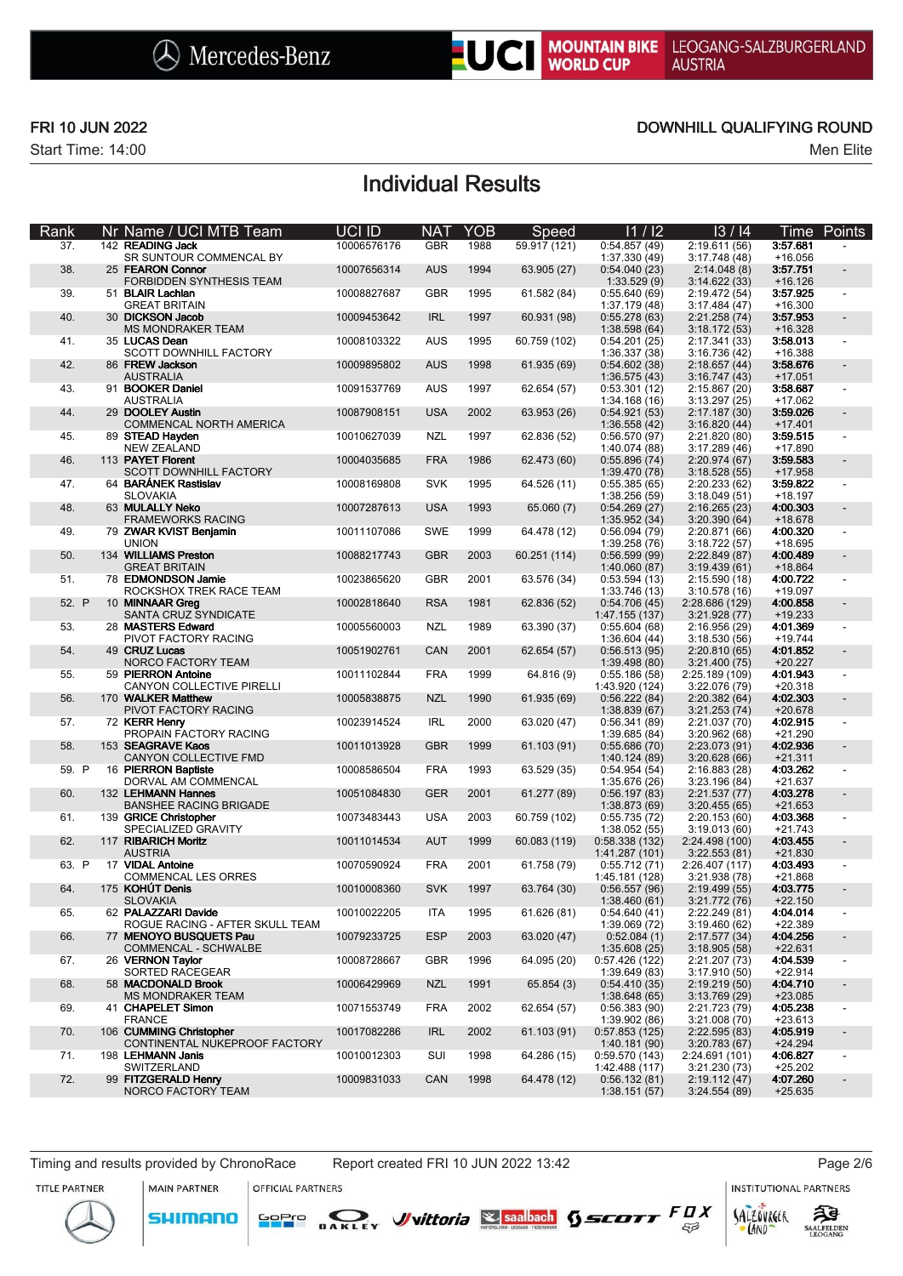

### FRI 10 JUN 2022 DOWNHILL QUALIFYING ROUND

# Individual Results

| Rank  | Nr Name / UCI MTB Team                                    | UCI ID      | <b>NAT</b> | YOB  | Speed        | 11/12                          | 13/14                          |                       | Time Points              |
|-------|-----------------------------------------------------------|-------------|------------|------|--------------|--------------------------------|--------------------------------|-----------------------|--------------------------|
| 37.   | 142 READING Jack<br>SR SUNTOUR COMMENCAL BY               | 10006576176 | <b>GBR</b> | 1988 | 59.917 (121) | 0:54.857(49)<br>1:37.330 (49)  | 2:19.611(56)<br>3:17.748(48)   | 3:57.681<br>$+16.056$ |                          |
| 38.   | 25 FEARON Connor<br>FORBIDDEN SYNTHESIS TEAM              | 10007656314 | <b>AUS</b> | 1994 | 63.905 (27)  | 0:54.040(23)<br>1:33.529(9)    | 2:14.048(8)<br>3:14.622(33)    | 3:57.751<br>$+16.126$ |                          |
| 39.   | 51 BLAIR Lachlan<br><b>GREAT BRITAIN</b>                  | 10008827687 | <b>GBR</b> | 1995 | 61.582 (84)  | 0:55.640(69)<br>1:37.179 (48)  | 2:19.472 (54)<br>3:17.484(47)  | 3:57.925<br>$+16.300$ |                          |
| 40.   | 30 DICKSON Jacob<br><b>MS MONDRAKER TEAM</b>              | 10009453642 | <b>IRL</b> | 1997 | 60.931 (98)  | 0:55.278(63)<br>1:38.598(64)   | 2:21.258 (74)<br>3:18.172(53)  | 3:57.953<br>$+16.328$ |                          |
| 41.   | 35 LUCAS Dean<br>SCOTT DOWNHILL FACTORY                   | 10008103322 | <b>AUS</b> | 1995 | 60.759 (102) | 0:54.201(25)<br>1:36.337(38)   | 2:17.341 (33)<br>3:16.736(42)  | 3:58.013<br>+16.388   | $\blacksquare$           |
| 42.   | 86 FREW Jackson<br><b>AUSTRALIA</b>                       | 10009895802 | AUS        | 1998 | 61.935 (69)  | 0:54.602(38)<br>1:36.575(43)   | 2:18.657(44)<br>3:16.747(43)   | 3:58.676<br>$+17.051$ |                          |
| 43.   | 91 BOOKER Daniel<br><b>AUSTRALIA</b>                      | 10091537769 | <b>AUS</b> | 1997 | 62.654 (57)  | 0:53.301(12)<br>1:34.168(16)   | 2:15.867 (20)<br>3:13.297(25)  | 3:58.687<br>$+17.062$ |                          |
| 44.   | 29 DOOLEY Austin<br>COMMENCAL NORTH AMERICA               | 10087908151 | <b>USA</b> | 2002 | 63.953 (26)  | 0:54.921(53)<br>1:36.558(42)   | 2:17.187(30)<br>3:16.820(44)   | 3:59.026<br>$+17.401$ |                          |
| 45.   | 89 STEAD Hayden<br><b>NEW ZEALAND</b>                     | 10010627039 | <b>NZL</b> | 1997 | 62.836 (52)  | 0:56.570(97)<br>1:40.074 (88)  | 2:21.820 (80)<br>3:17.289(46)  | 3:59.515<br>$+17.890$ | $\overline{\phantom{a}}$ |
| 46.   | 113 PAYET Florent<br><b>SCOTT DOWNHILL FACTORY</b>        | 10004035685 | <b>FRA</b> | 1986 | 62.473 (60)  | 0:55.896(74)<br>1:39.470 (78)  | 2:20.974 (67)<br>3:18.528(55)  | 3:59.583<br>+17.958   |                          |
| 47.   | 64 BARÁNEK Rastislav<br><b>SLOVAKIA</b>                   | 10008169808 | <b>SVK</b> | 1995 | 64.526 (11)  | 0:55.385(65)<br>1:38.256 (59)  | 2:20.233 (62)<br>3:18.049(51)  | 3:59.822<br>$+18.197$ |                          |
| 48.   | 63 MULALLY Neko<br><b>FRAMEWORKS RACING</b>               | 10007287613 | <b>USA</b> | 1993 | 65.060 (7)   | 0:54.269(27)<br>1:35.952(34)   | 2:16.265(23)<br>3:20.390(64)   | 4:00.303<br>+18.678   |                          |
| 49.   | 79 ZWAR KVIST Benjamin<br><b>UNION</b>                    | 10011107086 | <b>SWE</b> | 1999 | 64.478 (12)  | 0:56.094(79)<br>1:39.258 (76)  | 2:20.871 (66)<br>3:18.722(57)  | 4:00.320<br>$+18.695$ |                          |
| 50.   | 134 WILLIAMS Preston<br><b>GREAT BRITAIN</b>              | 10088217743 | <b>GBR</b> | 2003 | 60.251 (114) | 0:56.599(99)<br>1:40.060 (87)  | 2:22.849 (87)<br>3:19.439(61)  | 4:00.489<br>+18.864   |                          |
| 51.   | 78 EDMONDSON Jamie                                        | 10023865620 | <b>GBR</b> | 2001 | 63.576 (34)  | 0:53.594(13)                   | 2:15.590(18)                   | 4:00.722              |                          |
| 52. P | ROCKSHOX TREK RACE TEAM<br>10 MINNAAR Greg                | 10002818640 | <b>RSA</b> | 1981 | 62.836 (52)  | 1:33.746 (13)<br>0:54.706(45)  | 3:10.578(16)<br>2:28.686 (129) | $+19.097$<br>4:00.858 |                          |
| 53.   | SANTA CRUZ SYNDICATE<br>28 MASTERS Edward                 | 10005560003 | <b>NZL</b> | 1989 | 63.390 (37)  | 1:47.155 (137)<br>0:55.604(68) | 3:21.928 (77)<br>2:16.956(29)  | $+19.233$<br>4:01.369 |                          |
| 54.   | PIVOT FACTORY RACING<br>49 CRUZ Lucas                     | 10051902761 | CAN        | 2001 | 62.654 (57)  | 1:36.604(44)<br>0:56.513(95)   | 3:18.530(56)<br>2:20.810 (65)  | $+19.744$<br>4:01.852 |                          |
| 55.   | NORCO FACTORY TEAM<br>59 PIERRON Antoine                  | 10011102844 | <b>FRA</b> | 1999 | 64.816 (9)   | 1:39.498 (80)<br>0:55.186(58)  | 3:21.400(75)<br>2:25.189 (109) | $+20.227$<br>4:01.943 |                          |
| 56.   | CANYON COLLECTIVE PIRELLI<br>170 WALKER Matthew           | 10005838875 | <b>NZL</b> | 1990 | 61.935 (69)  | 1:43.920 (124)<br>0:56.222(84) | 3:22.076 (79)<br>2:20.382(64)  | $+20.318$<br>4:02.303 |                          |
| 57.   | PIVOT FACTORY RACING<br>72 KERR Henry                     | 10023914524 | <b>IRL</b> | 2000 | 63.020 (47)  | 1:38.839(67)<br>0:56.341(89)   | 3:21.253(74)<br>2:21.037 (70)  | $+20.678$<br>4:02.915 |                          |
| 58.   | PROPAIN FACTORY RACING<br>153 SEAGRAVE Kaos               | 10011013928 | <b>GBR</b> | 1999 | 61.103 (91)  | 1:39.685 (84)<br>0:55.686(70)  | 3:20.962(68)<br>2:23.073 (91)  | $+21.290$<br>4:02.936 |                          |
| 59. P | CANYON COLLECTIVE FMD<br>16 PIERRON Baptiste              | 10008586504 | <b>FRA</b> | 1993 | 63.529 (35)  | 1:40.124 (89)<br>0:54.954(54)  | 3:20.628(66)<br>2:16.883(28)   | $+21.311$<br>4:03.262 |                          |
| 60.   | DORVAL AM COMMENCAL<br>132 LEHMANN Hannes                 | 10051084830 | <b>GER</b> | 2001 | 61.277 (89)  | 1:35.676 (26)<br>0:56.197(83)  | 3:23.196 (84)<br>2:21.537(77)  | $+21.637$<br>4:03.278 |                          |
| 61.   | <b>BANSHEE RACING BRIGADE</b><br>139 GRICE Christopher    | 10073483443 | <b>USA</b> | 2003 | 60.759 (102) | 1:38.873 (69)<br>0:55.735(72)  | 3:20.455(65)<br>2:20.153(60)   | $+21.653$<br>4:03.368 |                          |
| 62.   | SPECIALIZED GRAVITY<br>117 RIBARICH Moritz                | 10011014534 | <b>AUT</b> | 1999 | 60.083 (119) | 1:38.052(55)<br>0:58.338(132)  | 3:19.013(60)<br>2:24.498 (100) | $+21.743$<br>4:03.455 |                          |
| 63. P | <b>AUSTRIA</b><br>17 VIDAL Antoine                        | 10070590924 | <b>FRA</b> | 2001 | 61.758 (79)  | 1:41.287(101)<br>0:55.712(71)  | 3:22.553(81)<br>2:26.407 (117) | $+21.830$<br>4:03.493 |                          |
| 64.   | <b>COMMENCAL LES ORRES</b><br>175 KOHÚT Denis             | 10010008360 | <b>SVK</b> | 1997 | 63.764 (30)  | 1:45.181 (128)<br>0:56.557(96) | 3:21.938 (78)<br>2:19.499(55)  | +21.868<br>4:03.775   |                          |
| 65.   | <b>SLOVAKIA</b><br>62 PALAZZARI Davide                    | 10010022205 | ITA        | 1995 | 61.626 (81)  | 1:38.460(61)<br>0:54.640(41)   | 3:21.772(76)<br>2:22.249 (81)  | $+22.150$<br>4:04.014 |                          |
| 66.   | ROGUE RACING - AFTER SKULL TEAM<br>77 MENOYO BUSQUETS Pau | 10079233725 | <b>ESP</b> | 2003 | 63.020 (47)  | 1:39.069 (72)<br>0:52.084(1)   | 3:19.460(62)<br>2:17.577 (34)  | +22.389<br>4:04.256   |                          |
| 67.   | COMMENCAL - SCHWALBE<br>26 VERNON Taylor                  | 10008728667 | <b>GBR</b> | 1996 | 64.095 (20)  | 1:35.608(25)<br>0:57.426(122)  | 3:18.905(58)<br>2:21.207 (73)  | $+22.631$<br>4:04.539 |                          |
| 68.   | SORTED RACEGEAR<br>58 MACDONALD Brook                     | 10006429969 | <b>NZL</b> | 1991 | 65.854(3)    | 1:39.649 (83)<br>0:54.410(35)  | 3:17.910 (50)<br>2:19.219(50)  | $+22.914$<br>4:04.710 |                          |
| 69.   | MS MONDRAKER TEAM<br>41 CHAPELET Simon                    | 10071553749 | <b>FRA</b> | 2002 | 62.654 (57)  | 1:38.648(65)<br>0:56.383(90)   | 3:13.769 (29)<br>2:21.723 (79) | $+23.085$<br>4:05.238 |                          |
| 70.   | <b>FRANCE</b><br>106 CUMMING Christopher                  | 10017082286 | <b>IRL</b> | 2002 | 61.103 (91)  | 1:39.902 (86)<br>0:57.853(125) | 3:21.008 (70)<br>2:22.595(83)  | $+23.613$<br>4:05.919 |                          |
| 71.   | CONTINENTAL NUKEPROOF FACTORY<br>198 LEHMANN Janis        | 10010012303 | SUI        | 1998 | 64.286 (15)  | 1:40.181 (90)<br>0:59.570(143) | 3:20.783(67)<br>2:24.691 (101) | $+24.294$<br>4:06.827 | $\overline{\phantom{a}}$ |
| 72.   | SWITZERLAND<br>99 FITZGERALD Henry                        | 10009831033 | CAN        | 1998 | 64.478 (12)  | 1:42.488 (117)<br>0:56.132(81) | 3:21.230 (73)<br>2:19.112(47)  | $+25.202$<br>4:07.260 |                          |
|       | NORCO FACTORY TEAM                                        |             |            |      |              | 1:38.151(57)                   | 3:24.554(89)                   | $+25.635$             |                          |

Timing and results provided by ChronoRace Report created FRI 10 JUN 2022 13:42 Page 2/6

**MAIN PARTNER** 

**SHIMANO** 

**OFFICIAL PARTNERS** 

**INSTITUTIONAL PARTNERS** 

LAND

 $53$ 

TITLE PARTNER



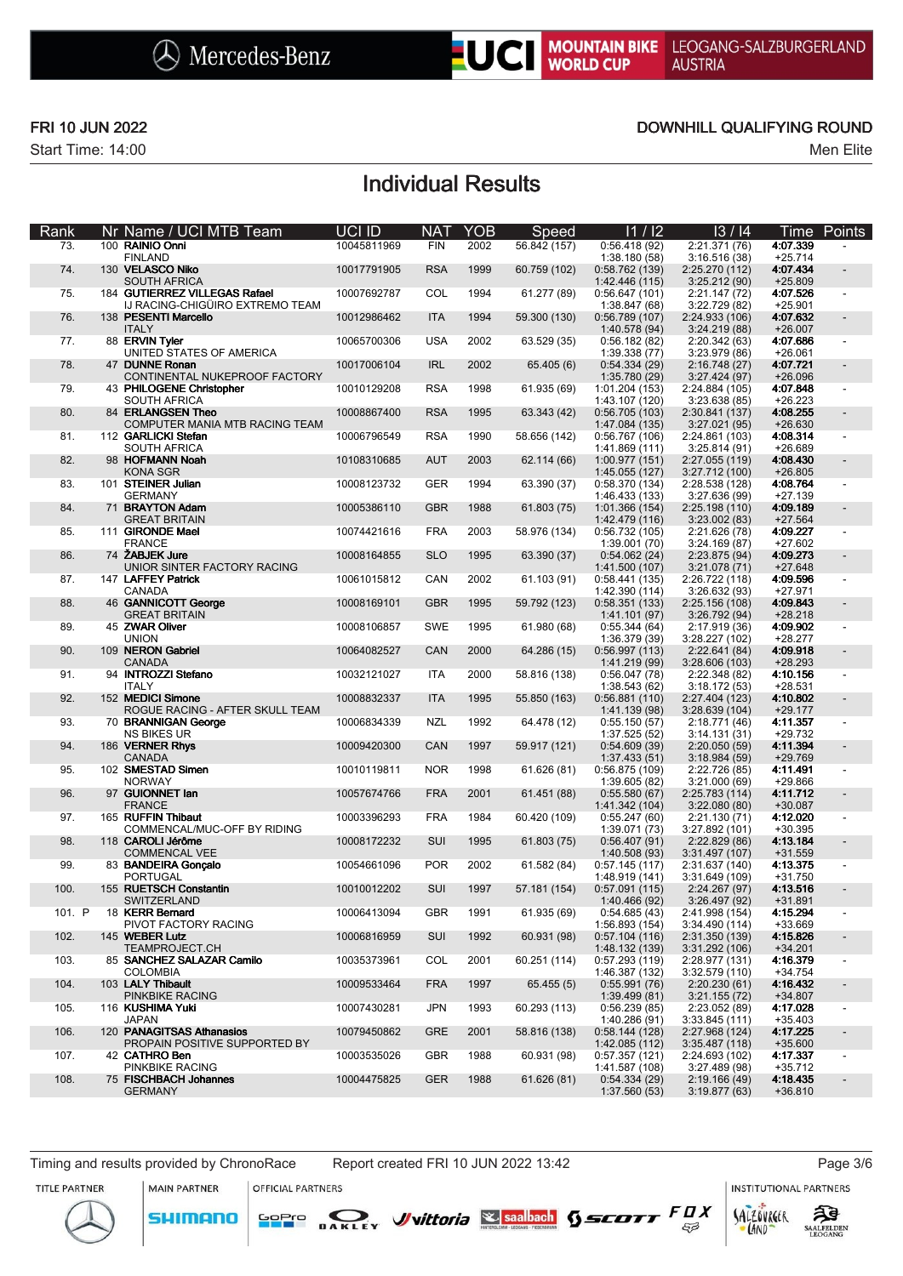

### FRI 10 JUN 2022 DOWNHILL QUALIFYING ROUND

# Individual Results

| <b>Rank</b> | Nr Name / UCI MTB Team                                           | UCI ID      | <b>NAT</b> | <b>YOB</b> | Speed        | 11 / 12                          | 13/14                            | Time                  | Points                   |
|-------------|------------------------------------------------------------------|-------------|------------|------------|--------------|----------------------------------|----------------------------------|-----------------------|--------------------------|
| 73.         | 100 RAINIO Onni<br><b>FINLAND</b>                                | 10045811969 | <b>FIN</b> | 2002       | 56.842 (157) | 0:56.418(92)<br>1:38.180(58)     | 2:21.371 (76)<br>3:16.516(38)    | 4:07.339<br>$+25.714$ |                          |
| 74.         | 130 VELASCO Niko<br><b>SOUTH AFRICA</b>                          | 10017791905 | <b>RSA</b> | 1999       | 60.759 (102) | 0:58.762(139)<br>1:42.446 (115)  | 2:25.270 (112)<br>3:25.212(90)   | 4:07.434<br>$+25.809$ |                          |
| 75.         | 184 GUTIERREZ VILLEGAS Rafael<br>IJ RACING-CHIGÜIRO EXTREMO TEAM | 10007692787 | COL        | 1994       | 61.277 (89)  | 0:56.647(101)<br>1:38.847 (68)   | 2:21.147(72)<br>3:22.729 (82)    | 4:07.526<br>$+25.901$ |                          |
| 76.         | 138 PESENTI Marcello<br><b>ITALY</b>                             | 10012986462 | <b>ITA</b> | 1994       | 59.300 (130) | 0:56.789(107)<br>1:40.578 (94)   | 2:24.933 (106)<br>3:24.219(88)   | 4:07.632<br>$+26.007$ |                          |
| 77.         | 88 ERVIN Tyler<br>UNITED STATES OF AMERICA                       | 10065700306 | <b>USA</b> | 2002       | 63.529 (35)  | 0:56.182(82)<br>1:39.338 (77)    | 2:20.342 (63)<br>3:23.979 (86)   | 4:07.686<br>$+26.061$ | $\overline{\phantom{a}}$ |
| 78.         | 47 DUNNE Ronan<br>CONTINENTAL NUKEPROOF FACTORY                  | 10017006104 | <b>IRL</b> | 2002       | 65.405 (6)   | 0:54.334(29)<br>1:35.780 (29)    | 2:16.748(27)<br>3:27.424 (97)    | 4:07.721<br>$+26.096$ |                          |
| 79.         | 43 PHILOGENE Christopher<br><b>SOUTH AFRICA</b>                  | 10010129208 | <b>RSA</b> | 1998       | 61.935 (69)  | 1:01.204 (153)<br>1:43.107 (120) | 2:24.884 (105)<br>3:23.638(85)   | 4:07.848<br>$+26.223$ | $\overline{\phantom{a}}$ |
| 80.         | 84 ERLANGSEN Theo<br>COMPUTER MANIA MTB RACING TEAM              | 10008867400 | <b>RSA</b> | 1995       | 63.343 (42)  | 0:56.705(103)<br>1:47.084 (135)  | 2:30.841 (137)<br>3:27.021(95)   | 4:08.255<br>$+26.630$ |                          |
| 81.         | 112 GARLICKI Stefan<br><b>SOUTH AFRICA</b>                       | 10006796549 | <b>RSA</b> | 1990       | 58.656 (142) | 0:56.767(106)<br>1:41.869 (111)  | 2:24.861 (103)<br>3:25.814(91)   | 4:08.314<br>+26.689   | $\overline{\phantom{a}}$ |
| 82.         | 98 HOFMANN Noah<br><b>KONA SGR</b>                               | 10108310685 | <b>AUT</b> | 2003       | 62.114 (66)  | 1:00.977 (151)<br>1:45.055 (127) | 2:27.055 (119)<br>3:27.712 (100) | 4:08.430<br>$+26.805$ |                          |
| 83.         | 101 STEINER Julian<br><b>GERMANY</b>                             | 10008123732 | <b>GER</b> | 1994       | 63.390 (37)  | 0:58.370 (134)<br>1:46.433 (133) | 2:28.538 (128)<br>3:27.636 (99)  | 4:08.764<br>$+27.139$ |                          |
| 84.         | 71 BRAYTON Adam<br><b>GREAT BRITAIN</b>                          | 10005386110 | <b>GBR</b> | 1988       | 61.803 (75)  | 1:01.366 (154)<br>1:42.479 (116) | 2:25.198 (110)<br>3:23.002(83)   | 4:09.189<br>$+27.564$ |                          |
| 85.         | 111 GIRONDE Mael<br><b>FRANCE</b>                                | 10074421616 | <b>FRA</b> | 2003       | 58.976 (134) | 0:56.732(105)<br>1:39.001 (70)   | 2:21.626 (78)<br>3:24.169(87)    | 4:09.227<br>$+27.602$ | $\overline{\phantom{a}}$ |
| 86.         | 74 ZABJEK Jure<br>UNIOR SINTER FACTORY RACING                    | 10008164855 | <b>SLO</b> | 1995       | 63.390 (37)  | 0:54.062(24)<br>1:41.500 (107)   | 2:23.875 (94)<br>3:21.078(71)    | 4:09.273<br>$+27.648$ |                          |
| 87.         | 147 LAFFEY Patrick<br>CANADA                                     | 10061015812 | CAN        | 2002       | 61.103 (91)  | 0:58.441(135)<br>1:42.390 (114)  | 2:26.722 (118)<br>3:26.632(93)   | 4:09.596<br>$+27.971$ |                          |
| 88.         | 46 GANNICOTT George<br><b>GREAT BRITAIN</b>                      | 10008169101 | <b>GBR</b> | 1995       | 59.792 (123) | 0:58.351(133)<br>1:41.101(97)    | 2:25.156 (108)<br>3:26.792 (94)  | 4:09.843<br>$+28.218$ |                          |
| 89.         | 45 ZWAR Oliver<br><b>UNION</b>                                   | 10008106857 | <b>SWE</b> | 1995       | 61.980 (68)  | 0:55.344(64)<br>1:36.379 (39)    | 2:17.919(36)<br>3:28.227 (102)   | 4:09.902<br>$+28.277$ | $\overline{\phantom{a}}$ |
| 90.         | 109 NERON Gabriel<br><b>CANADA</b>                               | 10064082527 | CAN        | 2000       | 64.286 (15)  | 0:56.997(113)<br>1:41.219 (99)   | 2:22.641(84)<br>3:28.606 (103)   | 4:09.918<br>$+28.293$ | $\blacksquare$           |
| 91.         | 94 INTROZZI Stefano<br><b>ITALY</b>                              | 10032121027 | <b>ITA</b> | 2000       | 58.816 (138) | 0:56.047(78)<br>1:38.543(62)     | 2:22.348 (82)<br>3:18.172(53)    | 4:10.156<br>$+28.531$ |                          |
| 92.         | 152 MEDICI Simone<br>ROGUE RACING - AFTER SKULL TEAM             | 10008832337 | <b>ITA</b> | 1995       | 55.850 (163) | 0:56.881(110)<br>1:41.139 (98)   | 2:27.404 (123)<br>3:28.639 (104) | 4:10.802<br>$+29.177$ |                          |
| 93.         | 70 BRANNIGAN George<br><b>NS BIKES UR</b>                        | 10006834339 | <b>NZL</b> | 1992       | 64.478 (12)  | 0:55.150(57)<br>1:37.525 (52)    | 2:18.771 (46)<br>3:14.131(31)    | 4:11.357<br>+29.732   |                          |
| 94.         | 186 VERNER Rhys<br><b>CANADA</b>                                 | 10009420300 | CAN        | 1997       | 59.917 (121) | 0:54.609(39)<br>1:37.433(51)     | 2:20.050(59)<br>3:18.984(59)     | 4:11.394<br>+29.769   |                          |
| 95.         | 102 SMESTAD Simen<br><b>NORWAY</b>                               | 10010119811 | <b>NOR</b> | 1998       | 61.626 (81)  | 0:56.875(109)<br>1:39.605 (82)   | 2:22.726 (85)<br>3:21.000(69)    | 4:11.491<br>+29.866   |                          |
| 96.         | 97 GUIONNET lan<br><b>FRANCE</b>                                 | 10057674766 | <b>FRA</b> | 2001       | 61.451 (88)  | 0:55.580(67)<br>1:41.342 (104)   | 2:25.783 (114)<br>3:22.080(80)   | 4:11.712<br>$+30.087$ |                          |
| 97.         | 165 RUFFIN Thibaut<br>COMMENCAL/MUC-OFF BY RIDING                | 10003396293 | <b>FRA</b> | 1984       | 60.420 (109) | 0:55.247(60)<br>1:39.071 (73)    | 2:21.130(71)<br>3:27.892 (101)   | 4:12.020<br>$+30.395$ |                          |
| 98.         | 118 CAROLI Jérôme<br><b>COMMENCAL VEE</b>                        | 10008172232 | SUI        | 1995       | 61.803 (75)  | 0:56.407(91)<br>1:40.508 (93)    | 2:22.829 (86)<br>3:31.497 (107)  | 4:13.184<br>$+31.559$ | $\blacksquare$           |
| 99.         | 83 BANDEIRA Gonçalo<br><b>PORTUGAL</b>                           | 10054661096 | <b>POR</b> | 2002       | 61.582 (84)  | 0:57.145(117)<br>1:48.919 (141)  | 2:31.637 (140)<br>3:31.649 (109) | 4:13.375<br>$+31.750$ |                          |
| 100.        | 155 RUETSCH Constantin<br>SWITZERLAND                            | 10010012202 | SUI        | 1997       | 57.181 (154) | 0:57.091(115)<br>1:40.466 (92)   | 2:24.267(97)<br>3:26.497 (92)    | 4:13.516<br>$+31.891$ |                          |
| 101. P      | 18 KERR Bernard<br>PIVOT FACTORY RACING                          | 10006413094 | GBR        | 1991       | 61.935 (69)  | 0:54.685(43)<br>1:56.893 (154)   | 2:41.998 (154)<br>3:34.490 (114) | 4:15.294<br>+33.669   |                          |
| 102.        | 145 WEBER Lutz<br><b>TEAMPROJECT.CH</b>                          | 10006816959 | SUI        | 1992       | 60.931 (98)  | 0:57.104(116)<br>1:48.132 (139)  | 2:31.350 (139)<br>3:31.292 (106) | 4:15.826<br>$+34.201$ | $\overline{\phantom{a}}$ |
| 103.        | 85 SANCHEZ SALAZAR Camilo<br><b>COLOMBIA</b>                     | 10035373961 | COL        | 2001       | 60.251 (114) | 0:57.293(119)<br>1:46.387 (132)  | 2:28.977 (131)<br>3:32.579 (110) | 4:16.379<br>$+34.754$ |                          |
| 104.        | 103 LALY Thibault<br>PINKBIKE RACING                             | 10009533464 | <b>FRA</b> | 1997       | 65.455(5)    | 0:55.991(76)<br>1:39.499(81)     | 2:20.230(61)<br>3:21.155(72)     | 4:16.432<br>$+34.807$ |                          |
| 105.        | 116 KUSHIMA Yuki<br>JAPAN                                        | 10007430281 | <b>JPN</b> | 1993       | 60.293 (113) | 0:56.239(85)<br>1:40.286 (91)    | 2:23.052 (89)<br>3:33.845 (111)  | 4:17.028<br>$+35.403$ |                          |
| 106.        | 120 PANAGITSAS Athanasios<br>PROPAIN POSITIVE SUPPORTED BY       | 10079450862 | <b>GRE</b> | 2001       | 58.816 (138) | 0:58.144(128)<br>1:42.085 (112)  | 2:27.968 (124)<br>3:35.487(118)  | 4:17.225<br>+35.600   |                          |
| 107.        | 42 CATHRO Ben<br>PINKBIKE RACING                                 | 10003535026 | GBR        | 1988       | 60.931 (98)  | 0:57.357(121)<br>1:41.587 (108)  | 2:24.693 (102)<br>3:27.489 (98)  | 4:17.337<br>$+35.712$ |                          |
| 108.        | 75 FISCHBACH Johannes<br><b>GERMANY</b>                          | 10004475825 | <b>GER</b> | 1988       | 61.626 (81)  | 0:54.334(29)<br>1:37.560(53)     | 2:19.166 (49)<br>3:19.877(63)    | 4:18.435<br>$+36.810$ |                          |
|             |                                                                  |             |            |            |              |                                  |                                  |                       |                          |

### Timing and results provided by ChronoRace Report created FRI 10 JUN 2022 13:42 Page 3/6

**MAIN PARTNER** 

**SHIMANO** 

**OFFICIAL PARTNERS** 

SOPIO DAKLEY Vittoria & saabach SSCOTT FUX

**INSTITUTIONAL PARTNERS** 



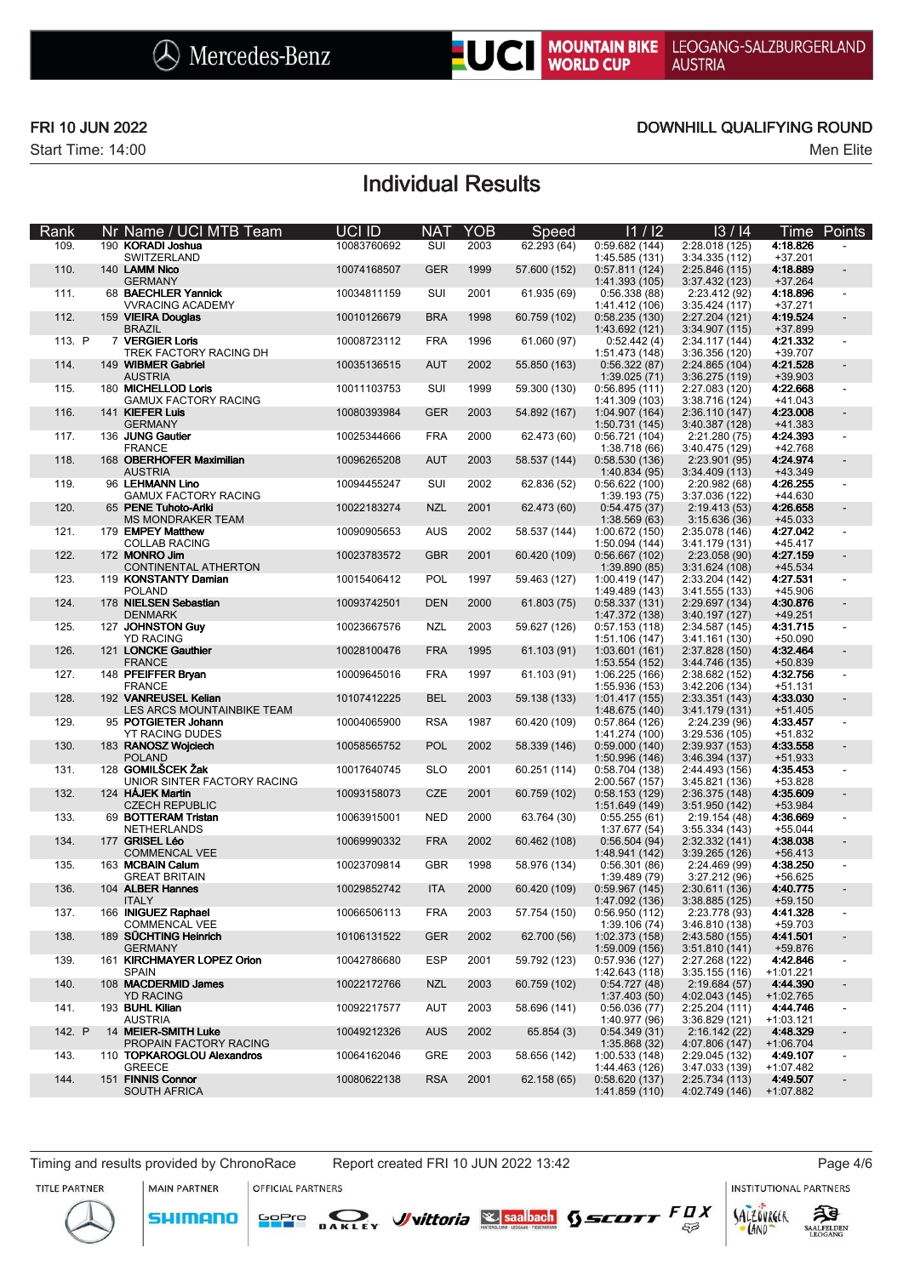

### FRI 10 JUN 2022 DOWNHILL QUALIFYING ROUND

## Individual Results

| <b>Rank</b> | Nr Name / UCI MTB Team                             | UCI ID      | <b>NAT</b> | <b>YOB</b> | Speed        | 11/12                            | 13/14                            | Time                  | Points                   |
|-------------|----------------------------------------------------|-------------|------------|------------|--------------|----------------------------------|----------------------------------|-----------------------|--------------------------|
| 109.        | 190 KORADI Joshua<br>SWITZERLAND                   | 10083760692 | SUI        | 2003       | 62.293 (64)  | 0:59.682(144)<br>1:45.585 (131)  | 2:28.018 (125)<br>3:34.335 (112) | 4:18.826<br>$+37.201$ |                          |
| 110.        | 140 LAMM Nico<br><b>GERMANY</b>                    | 10074168507 | <b>GER</b> | 1999       | 57.600 (152) | 0:57.811(124)<br>1:41.393 (105)  | 2:25.846 (115)<br>3:37.432 (123) | 4:18.889<br>$+37.264$ |                          |
| 111.        | 68 BAECHLER Yannick<br><b>VVRACING ACADEMY</b>     | 10034811159 | SUI        | 2001       | 61.935 (69)  | 0:56.338(88)<br>1:41.412 (106)   | 2:23.412 (92)<br>3:35.424 (117)  | 4:18.896<br>$+37.271$ |                          |
| 112.        | 159 VIEIRA Douglas<br><b>BRAZIL</b>                | 10010126679 | <b>BRA</b> | 1998       | 60.759 (102) | 0:58.235(130)<br>1:43.692 (121)  | 2:27.204 (121)<br>3:34.907 (115) | 4:19.524<br>$+37.899$ |                          |
| 113. P      | 7 VERGIER Loris<br>TREK FACTORY RACING DH          | 10008723112 | <b>FRA</b> | 1996       | 61.060 (97)  | 0:52.442(4)<br>1:51.473 (148)    | 2:34.117 (144)<br>3:36.356 (120) | 4:21.332<br>+39.707   |                          |
| 114.        | 149 WIBMER Gabriel<br><b>AUSTRIA</b>               | 10035136515 | <b>AUT</b> | 2002       | 55.850 (163) | 0:56.322(87)<br>1:39.025(71)     | 2:24.865 (104)<br>3:36.275 (119) | 4:21.528<br>$+39.903$ |                          |
| 115.        | 180 MICHELLOD Loris<br><b>GAMUX FACTORY RACING</b> | 10011103753 | SUI        | 1999       | 59.300 (130) | 0:56.895(111)<br>1:41.309 (103)  | 2:27.083 (120)<br>3:38.716 (124) | 4:22.668<br>$+41.043$ |                          |
| 116.        | 141 KIEFER Luis<br><b>GERMANY</b>                  | 10080393984 | <b>GER</b> | 2003       | 54.892 (167) | 1:04.907 (164)<br>1:50.731 (145) | 2:36.110 (147)<br>3:40.387 (128) | 4:23.008<br>+41.383   |                          |
| 117.        | 136 JUNG Gautier<br><b>FRANCE</b>                  | 10025344666 | <b>FRA</b> | 2000       | 62.473 (60)  | 0:56.721(104)<br>1:38.718 (66)   | 2:21.280 (75)<br>3:40.475 (129)  | 4:24.393<br>+42.768   | $\overline{\phantom{a}}$ |
| 118.        | 168 OBERHOFER Maximilian<br><b>AUSTRIA</b>         | 10096265208 | <b>AUT</b> | 2003       | 58.537 (144) | 0:58.530(136)<br>1:40.834 (95)   | 2:23.901 (95)<br>3:34.409(113)   | 4:24.974<br>+43.349   |                          |
| 119.        | 96 LEHMANN Lino<br><b>GAMUX FACTORY RACING</b>     | 10094455247 | SUI        | 2002       | 62.836 (52)  | 0:56.622(100)<br>1:39.193 (75)   | 2:20.982 (68)<br>3:37.036 (122)  | 4:26.255<br>$+44.630$ |                          |
| 120.        | 65 PENE Tuhoto-Ariki<br><b>MS MONDRAKER TEAM</b>   | 10022183274 | <b>NZL</b> | 2001       | 62.473 (60)  | 0:54.475(37)<br>1:38.569(63)     | 2:19.413 (53)<br>3:15.636(36)    | 4:26.658<br>+45.033   |                          |
| 121.        | 179 EMPEY Matthew<br><b>COLLAB RACING</b>          | 10090905653 | AUS        | 2002       | 58.537 (144) | 1:00.672 (150)<br>1:50.094 (144) | 2:35.078 (146)<br>3:41.179 (131) | 4:27.042<br>$+45.417$ |                          |
| 122.        | 172 MONRO Jim<br>CONTINENTAL ATHERTON              | 10023783572 | <b>GBR</b> | 2001       | 60.420 (109) | 0:56.667(102)<br>1:39.890 (85)   | 2:23.058 (90)<br>3:31.624 (108)  | 4:27.159<br>$+45.534$ |                          |
| 123.        | 119 KONSTANTY Damian<br><b>POLAND</b>              | 10015406412 | POL        | 1997       | 59.463 (127) | 1:00.419 (147)<br>1:49.489 (143) | 2:33.204 (142)<br>3:41.555 (133) | 4:27.531<br>+45.906   |                          |
| 124.        | 178 NIELSEN Sebastian<br><b>DENMARK</b>            | 10093742501 | <b>DEN</b> | 2000       | 61.803 (75)  | 0:58.337(131)<br>1:47.372 (138)  | 2:29.697 (134)<br>3:40.197 (127) | 4:30.876<br>$+49.251$ |                          |
| 125.        | 127 JOHNSTON Guy<br><b>YD RACING</b>               | 10023667576 | <b>NZL</b> | 2003       | 59.627 (126) | 0:57.153(118)<br>1:51.106 (147)  | 2:34.587 (145)<br>3:41.161 (130) | 4:31.715<br>$+50.090$ |                          |
| 126.        | 121 LONCKE Gauthier<br><b>FRANCE</b>               | 10028100476 | <b>FRA</b> | 1995       | 61.103 (91)  | 1:03.601(161)<br>1:53.554 (152)  | 2:37.828 (150)<br>3:44.746 (135) | 4:32.464<br>+50.839   |                          |
| 127.        | 148 PFEIFFER Bryan<br><b>FRANCE</b>                | 10009645016 | <b>FRA</b> | 1997       | 61.103 (91)  | 1:06.225 (166)<br>1:55.936 (153) | 2:38.682 (152)<br>3:42.206 (134) | 4:32.756<br>$+51.131$ |                          |
| 128.        | 192 VANREUSEL Kelian<br>LES ARCS MOUNTAINBIKE TEAM | 10107412225 | <b>BEL</b> | 2003       | 59.138 (133) | 1:01.417 (155)<br>1:48.675 (140) | 2:33.351 (143)<br>3:41.179 (131) | 4:33.030<br>$+51.405$ |                          |
| 129.        | 95 POTGIETER Johann<br>YT RACING DUDES             | 10004065900 | <b>RSA</b> | 1987       | 60.420 (109) | 0:57.864(126)<br>1:41.274 (100)  | 2:24.239(96)<br>3:29.536 (105)   | 4:33.457<br>+51.832   |                          |
| 130.        | 183 RANOSZ Wojciech<br><b>POLAND</b>               | 10058565752 | <b>POL</b> | 2002       | 58.339 (146) | 0:59.000(140)<br>1:50.996 (146)  | 2:39.937 (153)<br>3:46.394 (137) | 4:33.558<br>$+51.933$ |                          |
| 131.        | 128 GOMILŠCEK Žak<br>UNIOR SINTER FACTORY RACING   | 10017640745 | <b>SLO</b> | 2001       | 60.251 (114) | 0:58.704(138)<br>2:00.567 (157)  | 2:44.493 (156)<br>3:45.821 (136) | 4:35.453<br>+53.828   |                          |
| 132.        | 124 HAJEK Martin<br><b>CZECH REPUBLIC</b>          | 10093158073 | <b>CZE</b> | 2001       | 60.759 (102) | 0:58.153(129)<br>1:51.649 (149)  | 2:36.375 (148)<br>3:51.950 (142) | 4:35.609<br>+53.984   |                          |
| 133.        | 69 BOTTERAM Tristan<br>NETHERLANDS                 | 10063915001 | <b>NED</b> | 2000       | 63.764 (30)  | 0:55.255(61)<br>1:37.677 (54)    | 2:19.154 (48)<br>3:55.334 (143)  | 4:36.669<br>$+55.044$ | $\overline{\phantom{a}}$ |
| 134.        | 177 GRISEL Léo<br><b>COMMENCAL VEE</b>             | 10069990332 | <b>FRA</b> | 2002       | 60.462 (108) | 0:56.504(94)<br>1:48.941 (142)   | 2:32.332 (141)<br>3:39.265 (126) | 4:38.038<br>$+56.413$ |                          |
| 135.        | 163 MCBAIN Calum<br><b>GREAT BRITAIN</b>           | 10023709814 | <b>GBR</b> | 1998       | 58.976 (134) | 0:56.301(86)<br>1:39.489 (79)    | 2:24.469 (99)<br>3:27.212 (96)   | 4:38.250<br>+56.625   | $\overline{\phantom{a}}$ |
| 136.        | 104 ALBER Hannes<br><b>ITALY</b>                   | 10029852742 | <b>ITA</b> | 2000       | 60.420 (109) | 0:59.967(145)<br>1:47.092 (136)  | 2:30.611 (136)<br>3:38.885(125)  | 4:40.775<br>+59.150   |                          |
| 137.        | 166 INIGUEZ Raphael<br><b>COMMENCAL VEE</b>        | 10066506113 | <b>FRA</b> | 2003       | 57.754 (150) | 0:56.950(112)<br>1:39.106 (74)   | 2:23.778 (93)<br>3:46.810 (138)  | 4:41.328<br>+59.703   |                          |
| 138.        | 189 SÜCHTING Heinrich<br><b>GERMANY</b>            | 10106131522 | GER        | 2002       | 62.700 (56)  | 1:02.373 (158)<br>1:59.009 (156) | 2:43.580 (155)<br>3:51.810 (141) | 4:41.501<br>+59.876   |                          |
| 139.        | 161 KIRCHMAYER LOPEZ Orion<br><b>SPAIN</b>         | 10042786680 | ESP        | 2001       | 59.792 (123) | 0:57.936(127)<br>1:42.643 (118)  | 2:27.268 (122)<br>3:35.155(116)  | 4:42.846<br>+1:01.221 | $\overline{\phantom{a}}$ |
| 140.        | 108 MACDERMID James<br><b>YD RACING</b>            | 10022172766 | <b>NZL</b> | 2003       | 60.759 (102) | 0:54.727(48)<br>1:37.403(50)     | 2:19.684 (57)<br>4:02.043 (145)  | 4:44.390<br>+1:02.765 | $\overline{\phantom{a}}$ |
| 141.        | 193 BUHL Kilian<br><b>AUSTRIA</b>                  | 10092217577 | AUT        | 2003       | 58.696 (141) | 0:56.036(77)<br>1:40.977 (96)    | 2:25.204 (111)<br>3:36.829 (121) | 4:44.746<br>+1:03.121 | $\overline{\phantom{a}}$ |
| 142. P      | 14 MEIER-SMITH Luke<br>PROPAIN FACTORY RACING      | 10049212326 | <b>AUS</b> | 2002       | 65.854(3)    | 0:54.349(31)<br>1:35.868(32)     | 2:16.142(22)<br>4:07.806 (147)   | 4:48.329<br>+1:06.704 |                          |
| 143.        | 110 TOPKAROGLOU Alexandros<br><b>GREECE</b>        | 10064162046 | GRE        | 2003       | 58.656 (142) | 1:00.533 (148)<br>1:44.463 (126) | 2:29.045 (132)<br>3:47.033 (139) | 4:49.107<br>+1:07.482 | $\overline{\phantom{a}}$ |
| 144.        | 151 FINNIS Connor<br><b>SOUTH AFRICA</b>           | 10080622138 | <b>RSA</b> | 2001       | 62.158 (65)  | 0:58.620(137)<br>1:41.859 (110)  | 2:25.734 (113)<br>4:02.749 (146) | 4:49.507<br>+1:07.882 | $\overline{\phantom{a}}$ |
|             |                                                    |             |            |            |              |                                  |                                  |                       |                          |

Timing and results provided by ChronoRace Report created FRI 10 JUN 2022 13:42 Page 4/6

**MAIN PARTNER** 

**SHIMANO** 

**OFFICIAL PARTNERS** 

**INSTITUTIONAL PARTNERS** 

TITLE PARTNER



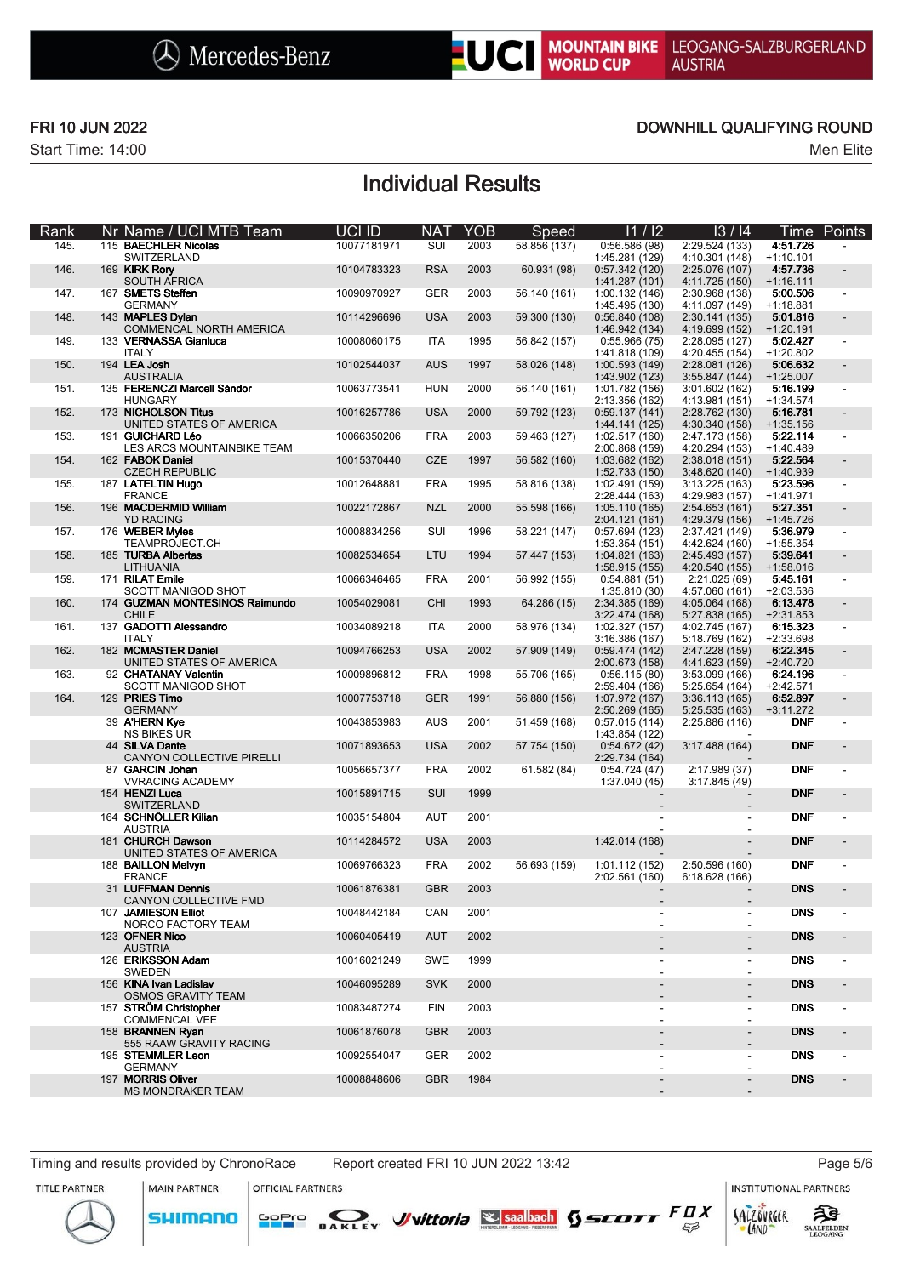

### FRI 10 JUN 2022 DOWNHILL QUALIFYING ROUND

# Individual Results

|                            | <b>UCI ID</b>                                                                                                                                                                                                                                                                                                                                                                                                                                                                                                                                                                                                                                                                                                                                                                                                                         |                                                                                                                                                                                                                                                                                                                                                                                                                                                                               | <b>YOB</b>                                                                                                                                                                                                                                                                                                                                                                                                                                     |                                                                                                                                                                                                                                                              | 11 / 12                                                                                                                                                                                                                                                                                                             |                                                                                                                                                                                                                                                                                                                                                         | Time                                                                                                                                                                                                                                                                                                                                                                                                                                                                  | Points                                                                                                                                                                                                                                                                                                                                                                                                                       |
|----------------------------|---------------------------------------------------------------------------------------------------------------------------------------------------------------------------------------------------------------------------------------------------------------------------------------------------------------------------------------------------------------------------------------------------------------------------------------------------------------------------------------------------------------------------------------------------------------------------------------------------------------------------------------------------------------------------------------------------------------------------------------------------------------------------------------------------------------------------------------|-------------------------------------------------------------------------------------------------------------------------------------------------------------------------------------------------------------------------------------------------------------------------------------------------------------------------------------------------------------------------------------------------------------------------------------------------------------------------------|------------------------------------------------------------------------------------------------------------------------------------------------------------------------------------------------------------------------------------------------------------------------------------------------------------------------------------------------------------------------------------------------------------------------------------------------|--------------------------------------------------------------------------------------------------------------------------------------------------------------------------------------------------------------------------------------------------------------|---------------------------------------------------------------------------------------------------------------------------------------------------------------------------------------------------------------------------------------------------------------------------------------------------------------------|---------------------------------------------------------------------------------------------------------------------------------------------------------------------------------------------------------------------------------------------------------------------------------------------------------------------------------------------------------|-----------------------------------------------------------------------------------------------------------------------------------------------------------------------------------------------------------------------------------------------------------------------------------------------------------------------------------------------------------------------------------------------------------------------------------------------------------------------|------------------------------------------------------------------------------------------------------------------------------------------------------------------------------------------------------------------------------------------------------------------------------------------------------------------------------------------------------------------------------------------------------------------------------|
| SWITZERLAND                | 10077181971                                                                                                                                                                                                                                                                                                                                                                                                                                                                                                                                                                                                                                                                                                                                                                                                                           | SUI                                                                                                                                                                                                                                                                                                                                                                                                                                                                           | 2003                                                                                                                                                                                                                                                                                                                                                                                                                                           | 58.856(137)                                                                                                                                                                                                                                                  | 0:56.586(98)<br>1:45.281 (129)                                                                                                                                                                                                                                                                                      | 2:29.524 (133)<br>4:10.301 (148)                                                                                                                                                                                                                                                                                                                        | 4:51.726<br>$+1:10.101$                                                                                                                                                                                                                                                                                                                                                                                                                                               |                                                                                                                                                                                                                                                                                                                                                                                                                              |
| <b>SOUTH AFRICA</b>        | 10104783323                                                                                                                                                                                                                                                                                                                                                                                                                                                                                                                                                                                                                                                                                                                                                                                                                           | <b>RSA</b>                                                                                                                                                                                                                                                                                                                                                                                                                                                                    | 2003                                                                                                                                                                                                                                                                                                                                                                                                                                           | 60.931 (98)                                                                                                                                                                                                                                                  | 0:57.342(120)<br>1:41.287 (101)                                                                                                                                                                                                                                                                                     | 2:25.076 (107)<br>4:11.725 (150)                                                                                                                                                                                                                                                                                                                        | 4:57.736<br>$+1:16.111$                                                                                                                                                                                                                                                                                                                                                                                                                                               |                                                                                                                                                                                                                                                                                                                                                                                                                              |
| <b>GERMANY</b>             | 10090970927                                                                                                                                                                                                                                                                                                                                                                                                                                                                                                                                                                                                                                                                                                                                                                                                                           | <b>GER</b>                                                                                                                                                                                                                                                                                                                                                                                                                                                                    | 2003                                                                                                                                                                                                                                                                                                                                                                                                                                           | 56.140 (161)                                                                                                                                                                                                                                                 | 1:00.132 (146)<br>1:45.495 (130)                                                                                                                                                                                                                                                                                    | 2:30.968 (138)<br>4:11.097 (149)                                                                                                                                                                                                                                                                                                                        | 5:00.506<br>$+1:18.881$                                                                                                                                                                                                                                                                                                                                                                                                                                               |                                                                                                                                                                                                                                                                                                                                                                                                                              |
| COMMENCAL NORTH AMERICA    | 10114296696                                                                                                                                                                                                                                                                                                                                                                                                                                                                                                                                                                                                                                                                                                                                                                                                                           |                                                                                                                                                                                                                                                                                                                                                                                                                                                                               | 2003                                                                                                                                                                                                                                                                                                                                                                                                                                           | 59.300 (130)                                                                                                                                                                                                                                                 | 0:56.840(108)<br>1:46.942 (134)                                                                                                                                                                                                                                                                                     | 2:30.141 (135)<br>4:19.699 (152)                                                                                                                                                                                                                                                                                                                        | 5:01.816<br>$+1:20.191$                                                                                                                                                                                                                                                                                                                                                                                                                                               |                                                                                                                                                                                                                                                                                                                                                                                                                              |
| <b>ITALY</b>               | 10008060175                                                                                                                                                                                                                                                                                                                                                                                                                                                                                                                                                                                                                                                                                                                                                                                                                           |                                                                                                                                                                                                                                                                                                                                                                                                                                                                               |                                                                                                                                                                                                                                                                                                                                                                                                                                                | 56.842 (157)                                                                                                                                                                                                                                                 | 0:55.966(75)<br>1:41.818 (109)                                                                                                                                                                                                                                                                                      | 2:28.095 (127)<br>4:20.455 (154)                                                                                                                                                                                                                                                                                                                        | +1:20.802                                                                                                                                                                                                                                                                                                                                                                                                                                                             | $\blacksquare$                                                                                                                                                                                                                                                                                                                                                                                                               |
| <b>AUSTRALIA</b>           |                                                                                                                                                                                                                                                                                                                                                                                                                                                                                                                                                                                                                                                                                                                                                                                                                                       |                                                                                                                                                                                                                                                                                                                                                                                                                                                                               |                                                                                                                                                                                                                                                                                                                                                                                                                                                |                                                                                                                                                                                                                                                              | 1:43.902 (123)                                                                                                                                                                                                                                                                                                      | 3:55.847(144)                                                                                                                                                                                                                                                                                                                                           | $+1:25.007$                                                                                                                                                                                                                                                                                                                                                                                                                                                           |                                                                                                                                                                                                                                                                                                                                                                                                                              |
| <b>HUNGARY</b>             |                                                                                                                                                                                                                                                                                                                                                                                                                                                                                                                                                                                                                                                                                                                                                                                                                                       |                                                                                                                                                                                                                                                                                                                                                                                                                                                                               |                                                                                                                                                                                                                                                                                                                                                                                                                                                |                                                                                                                                                                                                                                                              | 2:13.356 (162)                                                                                                                                                                                                                                                                                                      | 4:13.981 (151)                                                                                                                                                                                                                                                                                                                                          | $+1:34.574$                                                                                                                                                                                                                                                                                                                                                                                                                                                           |                                                                                                                                                                                                                                                                                                                                                                                                                              |
| UNITED STATES OF AMERICA   |                                                                                                                                                                                                                                                                                                                                                                                                                                                                                                                                                                                                                                                                                                                                                                                                                                       |                                                                                                                                                                                                                                                                                                                                                                                                                                                                               |                                                                                                                                                                                                                                                                                                                                                                                                                                                |                                                                                                                                                                                                                                                              | 1:44.141 (125)                                                                                                                                                                                                                                                                                                      | 4:30.340 (158)                                                                                                                                                                                                                                                                                                                                          | $+1:35.156$                                                                                                                                                                                                                                                                                                                                                                                                                                                           |                                                                                                                                                                                                                                                                                                                                                                                                                              |
| LES ARCS MOUNTAINBIKE TEAM |                                                                                                                                                                                                                                                                                                                                                                                                                                                                                                                                                                                                                                                                                                                                                                                                                                       |                                                                                                                                                                                                                                                                                                                                                                                                                                                                               |                                                                                                                                                                                                                                                                                                                                                                                                                                                |                                                                                                                                                                                                                                                              | 2:00.868 (159)                                                                                                                                                                                                                                                                                                      | 4:20.294 (153)                                                                                                                                                                                                                                                                                                                                          | $+1:40.489$                                                                                                                                                                                                                                                                                                                                                                                                                                                           | $\overline{\phantom{a}}$                                                                                                                                                                                                                                                                                                                                                                                                     |
| <b>CZECH REPUBLIC</b>      |                                                                                                                                                                                                                                                                                                                                                                                                                                                                                                                                                                                                                                                                                                                                                                                                                                       |                                                                                                                                                                                                                                                                                                                                                                                                                                                                               |                                                                                                                                                                                                                                                                                                                                                                                                                                                |                                                                                                                                                                                                                                                              | 1:52.733 (150)                                                                                                                                                                                                                                                                                                      | 3:48.620 (140)                                                                                                                                                                                                                                                                                                                                          | +1:40.939                                                                                                                                                                                                                                                                                                                                                                                                                                                             |                                                                                                                                                                                                                                                                                                                                                                                                                              |
| <b>FRANCE</b>              |                                                                                                                                                                                                                                                                                                                                                                                                                                                                                                                                                                                                                                                                                                                                                                                                                                       |                                                                                                                                                                                                                                                                                                                                                                                                                                                                               |                                                                                                                                                                                                                                                                                                                                                                                                                                                |                                                                                                                                                                                                                                                              | 2:28.444 (163)                                                                                                                                                                                                                                                                                                      | 4:29.983 (157)                                                                                                                                                                                                                                                                                                                                          | $+1:41.971$                                                                                                                                                                                                                                                                                                                                                                                                                                                           |                                                                                                                                                                                                                                                                                                                                                                                                                              |
| <b>YD RACING</b>           |                                                                                                                                                                                                                                                                                                                                                                                                                                                                                                                                                                                                                                                                                                                                                                                                                                       |                                                                                                                                                                                                                                                                                                                                                                                                                                                                               |                                                                                                                                                                                                                                                                                                                                                                                                                                                |                                                                                                                                                                                                                                                              | 2:04.121 (161)                                                                                                                                                                                                                                                                                                      | 4:29.379 (156)                                                                                                                                                                                                                                                                                                                                          | $+1:45.726$                                                                                                                                                                                                                                                                                                                                                                                                                                                           |                                                                                                                                                                                                                                                                                                                                                                                                                              |
| TEAMPROJECT.CH             |                                                                                                                                                                                                                                                                                                                                                                                                                                                                                                                                                                                                                                                                                                                                                                                                                                       |                                                                                                                                                                                                                                                                                                                                                                                                                                                                               |                                                                                                                                                                                                                                                                                                                                                                                                                                                |                                                                                                                                                                                                                                                              | 1:53.354 (151)                                                                                                                                                                                                                                                                                                      | 4:42.624 (160)                                                                                                                                                                                                                                                                                                                                          | $+1:55.354$                                                                                                                                                                                                                                                                                                                                                                                                                                                           |                                                                                                                                                                                                                                                                                                                                                                                                                              |
| LITHUANIA                  |                                                                                                                                                                                                                                                                                                                                                                                                                                                                                                                                                                                                                                                                                                                                                                                                                                       |                                                                                                                                                                                                                                                                                                                                                                                                                                                                               |                                                                                                                                                                                                                                                                                                                                                                                                                                                |                                                                                                                                                                                                                                                              | 1:58.915 (155)                                                                                                                                                                                                                                                                                                      | 4:20.540 (155)                                                                                                                                                                                                                                                                                                                                          | $+1:58.016$                                                                                                                                                                                                                                                                                                                                                                                                                                                           |                                                                                                                                                                                                                                                                                                                                                                                                                              |
| <b>SCOTT MANIGOD SHOT</b>  |                                                                                                                                                                                                                                                                                                                                                                                                                                                                                                                                                                                                                                                                                                                                                                                                                                       |                                                                                                                                                                                                                                                                                                                                                                                                                                                                               |                                                                                                                                                                                                                                                                                                                                                                                                                                                |                                                                                                                                                                                                                                                              | 1:35.810 (30)                                                                                                                                                                                                                                                                                                       | 4:57.060 (161)                                                                                                                                                                                                                                                                                                                                          | +2:03.536                                                                                                                                                                                                                                                                                                                                                                                                                                                             |                                                                                                                                                                                                                                                                                                                                                                                                                              |
| <b>CHILE</b>               |                                                                                                                                                                                                                                                                                                                                                                                                                                                                                                                                                                                                                                                                                                                                                                                                                                       |                                                                                                                                                                                                                                                                                                                                                                                                                                                                               |                                                                                                                                                                                                                                                                                                                                                                                                                                                |                                                                                                                                                                                                                                                              | 3:22.474 (168)                                                                                                                                                                                                                                                                                                      | 5:27.838 (165)                                                                                                                                                                                                                                                                                                                                          | $+2:31.853$                                                                                                                                                                                                                                                                                                                                                                                                                                                           |                                                                                                                                                                                                                                                                                                                                                                                                                              |
| <b>ITALY</b>               |                                                                                                                                                                                                                                                                                                                                                                                                                                                                                                                                                                                                                                                                                                                                                                                                                                       |                                                                                                                                                                                                                                                                                                                                                                                                                                                                               |                                                                                                                                                                                                                                                                                                                                                                                                                                                |                                                                                                                                                                                                                                                              | 3:16.386(167)                                                                                                                                                                                                                                                                                                       | 5:18.769 (162)                                                                                                                                                                                                                                                                                                                                          | +2:33.698                                                                                                                                                                                                                                                                                                                                                                                                                                                             |                                                                                                                                                                                                                                                                                                                                                                                                                              |
| UNITED STATES OF AMERICA   |                                                                                                                                                                                                                                                                                                                                                                                                                                                                                                                                                                                                                                                                                                                                                                                                                                       |                                                                                                                                                                                                                                                                                                                                                                                                                                                                               |                                                                                                                                                                                                                                                                                                                                                                                                                                                |                                                                                                                                                                                                                                                              | 2:00.673 (158)                                                                                                                                                                                                                                                                                                      | 4:41.623 (159)                                                                                                                                                                                                                                                                                                                                          | $+2:40.720$                                                                                                                                                                                                                                                                                                                                                                                                                                                           |                                                                                                                                                                                                                                                                                                                                                                                                                              |
| <b>SCOTT MANIGOD SHOT</b>  |                                                                                                                                                                                                                                                                                                                                                                                                                                                                                                                                                                                                                                                                                                                                                                                                                                       |                                                                                                                                                                                                                                                                                                                                                                                                                                                                               |                                                                                                                                                                                                                                                                                                                                                                                                                                                |                                                                                                                                                                                                                                                              | 2:59.404 (166)                                                                                                                                                                                                                                                                                                      | 5:25.654 (164)                                                                                                                                                                                                                                                                                                                                          | $+2:42.571$                                                                                                                                                                                                                                                                                                                                                                                                                                                           |                                                                                                                                                                                                                                                                                                                                                                                                                              |
| <b>GERMANY</b>             |                                                                                                                                                                                                                                                                                                                                                                                                                                                                                                                                                                                                                                                                                                                                                                                                                                       |                                                                                                                                                                                                                                                                                                                                                                                                                                                                               |                                                                                                                                                                                                                                                                                                                                                                                                                                                |                                                                                                                                                                                                                                                              | 2:50.269 (165)                                                                                                                                                                                                                                                                                                      | 5:25.535 (163)                                                                                                                                                                                                                                                                                                                                          | $+3:11.272$                                                                                                                                                                                                                                                                                                                                                                                                                                                           |                                                                                                                                                                                                                                                                                                                                                                                                                              |
| <b>NS BIKES UR</b>         |                                                                                                                                                                                                                                                                                                                                                                                                                                                                                                                                                                                                                                                                                                                                                                                                                                       |                                                                                                                                                                                                                                                                                                                                                                                                                                                                               |                                                                                                                                                                                                                                                                                                                                                                                                                                                |                                                                                                                                                                                                                                                              | 1:43.854 (122)                                                                                                                                                                                                                                                                                                      |                                                                                                                                                                                                                                                                                                                                                         |                                                                                                                                                                                                                                                                                                                                                                                                                                                                       |                                                                                                                                                                                                                                                                                                                                                                                                                              |
| CANYON COLLECTIVE PIRELLI  |                                                                                                                                                                                                                                                                                                                                                                                                                                                                                                                                                                                                                                                                                                                                                                                                                                       |                                                                                                                                                                                                                                                                                                                                                                                                                                                                               |                                                                                                                                                                                                                                                                                                                                                                                                                                                |                                                                                                                                                                                                                                                              | 2:29.734 (164)                                                                                                                                                                                                                                                                                                      |                                                                                                                                                                                                                                                                                                                                                         |                                                                                                                                                                                                                                                                                                                                                                                                                                                                       |                                                                                                                                                                                                                                                                                                                                                                                                                              |
| <b>VVRACING ACADEMY</b>    |                                                                                                                                                                                                                                                                                                                                                                                                                                                                                                                                                                                                                                                                                                                                                                                                                                       |                                                                                                                                                                                                                                                                                                                                                                                                                                                                               |                                                                                                                                                                                                                                                                                                                                                                                                                                                |                                                                                                                                                                                                                                                              | 1:37.040 (45)                                                                                                                                                                                                                                                                                                       | 3:17.845(49)                                                                                                                                                                                                                                                                                                                                            |                                                                                                                                                                                                                                                                                                                                                                                                                                                                       |                                                                                                                                                                                                                                                                                                                                                                                                                              |
| SWITZERLAND                |                                                                                                                                                                                                                                                                                                                                                                                                                                                                                                                                                                                                                                                                                                                                                                                                                                       |                                                                                                                                                                                                                                                                                                                                                                                                                                                                               |                                                                                                                                                                                                                                                                                                                                                                                                                                                |                                                                                                                                                                                                                                                              |                                                                                                                                                                                                                                                                                                                     |                                                                                                                                                                                                                                                                                                                                                         |                                                                                                                                                                                                                                                                                                                                                                                                                                                                       |                                                                                                                                                                                                                                                                                                                                                                                                                              |
| <b>AUSTRIA</b>             |                                                                                                                                                                                                                                                                                                                                                                                                                                                                                                                                                                                                                                                                                                                                                                                                                                       |                                                                                                                                                                                                                                                                                                                                                                                                                                                                               |                                                                                                                                                                                                                                                                                                                                                                                                                                                |                                                                                                                                                                                                                                                              |                                                                                                                                                                                                                                                                                                                     |                                                                                                                                                                                                                                                                                                                                                         |                                                                                                                                                                                                                                                                                                                                                                                                                                                                       |                                                                                                                                                                                                                                                                                                                                                                                                                              |
| UNITED STATES OF AMERICA   |                                                                                                                                                                                                                                                                                                                                                                                                                                                                                                                                                                                                                                                                                                                                                                                                                                       |                                                                                                                                                                                                                                                                                                                                                                                                                                                                               |                                                                                                                                                                                                                                                                                                                                                                                                                                                |                                                                                                                                                                                                                                                              |                                                                                                                                                                                                                                                                                                                     |                                                                                                                                                                                                                                                                                                                                                         |                                                                                                                                                                                                                                                                                                                                                                                                                                                                       |                                                                                                                                                                                                                                                                                                                                                                                                                              |
| <b>FRANCE</b>              |                                                                                                                                                                                                                                                                                                                                                                                                                                                                                                                                                                                                                                                                                                                                                                                                                                       |                                                                                                                                                                                                                                                                                                                                                                                                                                                                               |                                                                                                                                                                                                                                                                                                                                                                                                                                                |                                                                                                                                                                                                                                                              | 2:02.561 (160)                                                                                                                                                                                                                                                                                                      | 6:18.628(166)                                                                                                                                                                                                                                                                                                                                           |                                                                                                                                                                                                                                                                                                                                                                                                                                                                       |                                                                                                                                                                                                                                                                                                                                                                                                                              |
| CANYON COLLECTIVE FMD      |                                                                                                                                                                                                                                                                                                                                                                                                                                                                                                                                                                                                                                                                                                                                                                                                                                       |                                                                                                                                                                                                                                                                                                                                                                                                                                                                               |                                                                                                                                                                                                                                                                                                                                                                                                                                                |                                                                                                                                                                                                                                                              |                                                                                                                                                                                                                                                                                                                     |                                                                                                                                                                                                                                                                                                                                                         |                                                                                                                                                                                                                                                                                                                                                                                                                                                                       |                                                                                                                                                                                                                                                                                                                                                                                                                              |
| NORCO FACTORY TEAM         |                                                                                                                                                                                                                                                                                                                                                                                                                                                                                                                                                                                                                                                                                                                                                                                                                                       |                                                                                                                                                                                                                                                                                                                                                                                                                                                                               |                                                                                                                                                                                                                                                                                                                                                                                                                                                |                                                                                                                                                                                                                                                              |                                                                                                                                                                                                                                                                                                                     | $\overline{\phantom{a}}$                                                                                                                                                                                                                                                                                                                                |                                                                                                                                                                                                                                                                                                                                                                                                                                                                       |                                                                                                                                                                                                                                                                                                                                                                                                                              |
| <b>AUSTRIA</b>             |                                                                                                                                                                                                                                                                                                                                                                                                                                                                                                                                                                                                                                                                                                                                                                                                                                       |                                                                                                                                                                                                                                                                                                                                                                                                                                                                               |                                                                                                                                                                                                                                                                                                                                                                                                                                                |                                                                                                                                                                                                                                                              |                                                                                                                                                                                                                                                                                                                     |                                                                                                                                                                                                                                                                                                                                                         |                                                                                                                                                                                                                                                                                                                                                                                                                                                                       |                                                                                                                                                                                                                                                                                                                                                                                                                              |
| <b>SWEDEN</b>              |                                                                                                                                                                                                                                                                                                                                                                                                                                                                                                                                                                                                                                                                                                                                                                                                                                       |                                                                                                                                                                                                                                                                                                                                                                                                                                                                               |                                                                                                                                                                                                                                                                                                                                                                                                                                                |                                                                                                                                                                                                                                                              |                                                                                                                                                                                                                                                                                                                     |                                                                                                                                                                                                                                                                                                                                                         |                                                                                                                                                                                                                                                                                                                                                                                                                                                                       |                                                                                                                                                                                                                                                                                                                                                                                                                              |
| <b>OSMOS GRAVITY TEAM</b>  |                                                                                                                                                                                                                                                                                                                                                                                                                                                                                                                                                                                                                                                                                                                                                                                                                                       |                                                                                                                                                                                                                                                                                                                                                                                                                                                                               |                                                                                                                                                                                                                                                                                                                                                                                                                                                |                                                                                                                                                                                                                                                              |                                                                                                                                                                                                                                                                                                                     | $\overline{\phantom{0}}$                                                                                                                                                                                                                                                                                                                                |                                                                                                                                                                                                                                                                                                                                                                                                                                                                       |                                                                                                                                                                                                                                                                                                                                                                                                                              |
| <b>COMMENCAL VEE</b>       |                                                                                                                                                                                                                                                                                                                                                                                                                                                                                                                                                                                                                                                                                                                                                                                                                                       |                                                                                                                                                                                                                                                                                                                                                                                                                                                                               |                                                                                                                                                                                                                                                                                                                                                                                                                                                |                                                                                                                                                                                                                                                              |                                                                                                                                                                                                                                                                                                                     | $\overline{a}$                                                                                                                                                                                                                                                                                                                                          |                                                                                                                                                                                                                                                                                                                                                                                                                                                                       |                                                                                                                                                                                                                                                                                                                                                                                                                              |
| 555 RAAW GRAVITY RACING    |                                                                                                                                                                                                                                                                                                                                                                                                                                                                                                                                                                                                                                                                                                                                                                                                                                       |                                                                                                                                                                                                                                                                                                                                                                                                                                                                               |                                                                                                                                                                                                                                                                                                                                                                                                                                                |                                                                                                                                                                                                                                                              |                                                                                                                                                                                                                                                                                                                     | $\overline{a}$                                                                                                                                                                                                                                                                                                                                          |                                                                                                                                                                                                                                                                                                                                                                                                                                                                       |                                                                                                                                                                                                                                                                                                                                                                                                                              |
| <b>GERMANY</b>             |                                                                                                                                                                                                                                                                                                                                                                                                                                                                                                                                                                                                                                                                                                                                                                                                                                       |                                                                                                                                                                                                                                                                                                                                                                                                                                                                               |                                                                                                                                                                                                                                                                                                                                                                                                                                                |                                                                                                                                                                                                                                                              |                                                                                                                                                                                                                                                                                                                     | $\overline{\phantom{0}}$                                                                                                                                                                                                                                                                                                                                |                                                                                                                                                                                                                                                                                                                                                                                                                                                                       |                                                                                                                                                                                                                                                                                                                                                                                                                              |
| MS MONDRAKER TEAM          |                                                                                                                                                                                                                                                                                                                                                                                                                                                                                                                                                                                                                                                                                                                                                                                                                                       |                                                                                                                                                                                                                                                                                                                                                                                                                                                                               |                                                                                                                                                                                                                                                                                                                                                                                                                                                |                                                                                                                                                                                                                                                              |                                                                                                                                                                                                                                                                                                                     | $\overline{\phantom{a}}$                                                                                                                                                                                                                                                                                                                                |                                                                                                                                                                                                                                                                                                                                                                                                                                                                       |                                                                                                                                                                                                                                                                                                                                                                                                                              |
|                            | Nr Name / UCI MTB Team<br>115 BAECHLER Nicolas<br>169 KIRK Rory<br>167 SMETS Steffen<br>143 MAPLES Dylan<br>133 VERNASSA Gianluca<br>194 LEA Josh<br>135 FERENCZI Marcell Sándor<br>173 NICHOLSON Titus<br>191 GUICHARD Léo<br>162 FABOK Daniel<br>187 LATELTIN Hugo<br>196 MACDERMID William<br>176 WEBER Myles<br>185 TURBA Albertas<br>171 RILAT Emile<br>174 GUZMAN MONTESINOS Raimundo<br>137 GADOTTI Alessandro<br>182 MCMASTER Daniel<br>92 CHATANAY Valentin<br>129 PRIES Timo<br>39 A'HERN Kye<br>44 SILVA Dante<br>87 GARCIN Johan<br>154 HENZI Luca<br>164 SCHNÖLLER Kilian<br>181 CHURCH Dawson<br>188 BAILLON Melvyn<br>31 LUFFMAN Dennis<br>107 JAMIESON Elliot<br>123 OFNER Nico<br>126 ERIKSSON Adam<br>156 KINA Ivan Ladislav<br>157 STRÖM Christopher<br>158 BRANNEN Ryan<br>195 STEMMLER Leon<br>197 MORRIS Oliver | 10102544037<br>10063773541<br>10016257786<br>10066350206<br>10015370440<br>10012648881<br>10022172867<br>10008834256<br>10082534654<br>10066346465<br>10054029081<br>10034089218<br>10094766253<br>10009896812<br>10007753718<br>10043853983<br>10071893653<br>10056657377<br>10015891715<br>10035154804<br>10114284572<br>10069766323<br>10061876381<br>10048442184<br>10060405419<br>10016021249<br>10046095289<br>10083487274<br>10061876078<br>10092554047<br>10008848606 | NAT<br><b>USA</b><br><b>ITA</b><br><b>AUS</b><br><b>HUN</b><br><b>USA</b><br><b>FRA</b><br><b>CZE</b><br><b>FRA</b><br><b>NZL</b><br>SUI<br>LTU<br><b>FRA</b><br><b>CHI</b><br>ITA<br><b>USA</b><br><b>FRA</b><br><b>GER</b><br><b>AUS</b><br><b>USA</b><br><b>FRA</b><br>SUI<br><b>AUT</b><br><b>USA</b><br><b>FRA</b><br><b>GBR</b><br>CAN<br><b>AUT</b><br><b>SWE</b><br><b>SVK</b><br><b>FIN</b><br><b>GBR</b><br><b>GER</b><br><b>GBR</b> | 1995<br>1997<br>2000<br>2000<br>2003<br>1997<br>1995<br>2000<br>1996<br>1994<br>2001<br>1993<br>2000<br>2002<br>1998<br>1991<br>2001<br>2002<br>2002<br>1999<br>2001<br>2003<br>2002<br>2003<br>2001<br>2002<br>1999<br>2000<br>2003<br>2003<br>2002<br>1984 | Speed<br>58.026 (148)<br>56.140 (161)<br>59.792 (123)<br>59.463 (127)<br>56.582 (160)<br>58.816 (138)<br>55.598 (166)<br>58.221 (147)<br>57.447 (153)<br>56.992 (155)<br>64.286 (15)<br>58.976 (134)<br>57.909 (149)<br>55.706 (165)<br>56.880 (156)<br>51.459 (168)<br>57.754 (150)<br>61.582 (84)<br>56.693 (159) | 1:00.593 (149)<br>1:01.782 (156)<br>0:59.137(141)<br>1:02.517 (160)<br>1:03.682 (162)<br>1:02.491 (159)<br>1:05.110(165)<br>0:57.694(123)<br>1:04.821 (163)<br>0:54.881(51)<br>2:34.385 (169)<br>1:02.327 (157)<br>0:59.474(142)<br>0:56.115(80)<br>1:07.972 (167)<br>0:57.015(114)<br>0:54.672(42)<br>0:54.724(47)<br>1:42.014 (168)<br>1:01.112 (152) | 13/14<br>2:28.081 (126)<br>3:01.602 (162)<br>2:28.762 (130)<br>2:47.173 (158)<br>2:38.018 (151)<br>3:13.225(163)<br>2:54.653 (161)<br>2:37.421 (149)<br>2:45.493 (157)<br>2:21.025 (69)<br>4:05.064 (168)<br>4:02.745 (167)<br>2:47.228 (159)<br>3:53.099 (166)<br>3:36.113(165)<br>2:25.886 (116)<br>3:17.488(164)<br>2:17.989(37)<br>2:50.596 (160)<br>$\overline{\phantom{a}}$<br>$\overline{\phantom{0}}$<br>$\overline{\phantom{a}}$<br>$\overline{\phantom{0}}$ | 5:02.427<br>5:06.632<br>5:16.199<br>5:16.781<br>5:22.114<br>5:22.564<br>5:23.596<br>5:27.351<br>5:36.979<br>5:39.641<br>5:45.161<br>6:13.478<br>6:15.323<br>6:22.345<br>6:24.196<br>6:52.897<br><b>DNF</b><br><b>DNF</b><br><b>DNF</b><br><b>DNF</b><br><b>DNF</b><br><b>DNF</b><br><b>DNF</b><br><b>DNS</b><br><b>DNS</b><br><b>DNS</b><br><b>DNS</b><br><b>DNS</b><br><b>DNS</b><br><b>DNS</b><br><b>DNS</b><br><b>DNS</b> |

**MAIN PARTNER** 

**OFFICIAL PARTNERS** 

**INSTITUTIONAL PARTNERS** 

SALZOVRGER

LAND